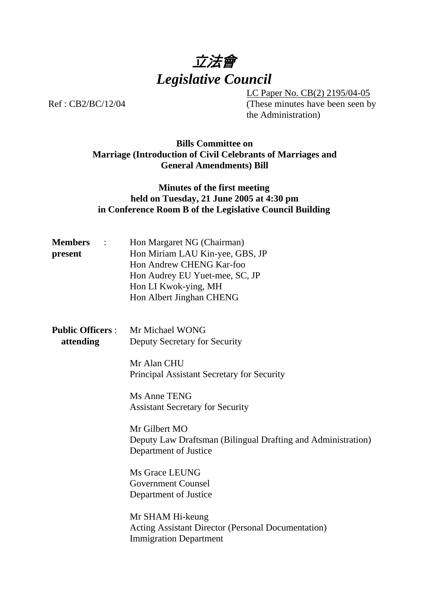

LC Paper No. CB(2) 2195/04-05 Ref : CB2/BC/12/04 (These minutes have been seen by the Administration)

### **Bills Committee on Marriage (Introduction of Civil Celebrants of Marriages and General Amendments) Bill**

## **Minutes of the first meeting held on Tuesday, 21 June 2005 at 4:30 pm in Conference Room B of the Legislative Council Building**

| <b>Members</b> :<br>present          | Hon Margaret NG (Chairman)<br>Hon Miriam LAU Kin-yee, GBS, JP<br>Hon Andrew CHENG Kar-foo<br>Hon Audrey EU Yuet-mee, SC, JP<br>Hon LI Kwok-ying, MH<br>Hon Albert Jinghan CHENG |
|--------------------------------------|---------------------------------------------------------------------------------------------------------------------------------------------------------------------------------|
| <b>Public Officers:</b><br>attending | Mr Michael WONG<br>Deputy Secretary for Security                                                                                                                                |
|                                      | Mr Alan CHU<br>Principal Assistant Secretary for Security                                                                                                                       |
|                                      | Ms Anne TENG<br><b>Assistant Secretary for Security</b>                                                                                                                         |
|                                      | Mr Gilbert MO<br>Deputy Law Draftsman (Bilingual Drafting and Administration)<br>Department of Justice                                                                          |
|                                      | Ms Grace LEUNG<br><b>Government Counsel</b><br>Department of Justice                                                                                                            |
|                                      | Mr SHAM Hi-keung<br><b>Acting Assistant Director (Personal Documentation)</b><br><b>Immigration Department</b>                                                                  |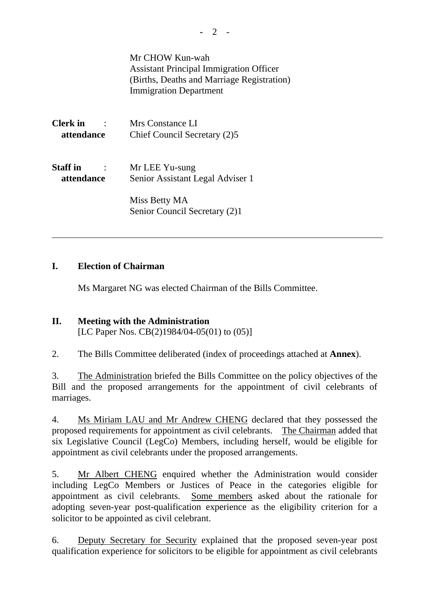|                                                       | Mr CHOW Kun-wah<br><b>Assistant Principal Immigration Officer</b><br>(Births, Deaths and Marriage Registration)<br><b>Immigration Department</b> |
|-------------------------------------------------------|--------------------------------------------------------------------------------------------------------------------------------------------------|
| Clerk in<br>attendance                                | Mrs Constance LI<br>Chief Council Secretary (2)5                                                                                                 |
| <b>Staff</b> in<br>$\ddot{\phantom{a}}$<br>attendance | Mr LEE Yu-sung<br>Senior Assistant Legal Adviser 1                                                                                               |
|                                                       | Miss Betty MA<br>Senior Council Secretary (2)1                                                                                                   |

# **I. Election of Chairman**

Ms Margaret NG was elected Chairman of the Bills Committee.

# **II. Meeting with the Administration**  [LC Paper Nos. CB(2)1984/04-05(01) to (05)]

2. The Bills Committee deliberated (index of proceedings attached at **Annex**).

3. The Administration briefed the Bills Committee on the policy objectives of the Bill and the proposed arrangements for the appointment of civil celebrants of marriages.

4. Ms Miriam LAU and Mr Andrew CHENG declared that they possessed the proposed requirements for appointment as civil celebrants. The Chairman added that six Legislative Council (LegCo) Members, including herself, would be eligible for appointment as civil celebrants under the proposed arrangements.

5. Mr Albert CHENG enquired whether the Administration would consider including LegCo Members or Justices of Peace in the categories eligible for appointment as civil celebrants. Some members asked about the rationale for adopting seven-year post-qualification experience as the eligibility criterion for a solicitor to be appointed as civil celebrant.

6. Deputy Secretary for Security explained that the proposed seven-year post qualification experience for solicitors to be eligible for appointment as civil celebrants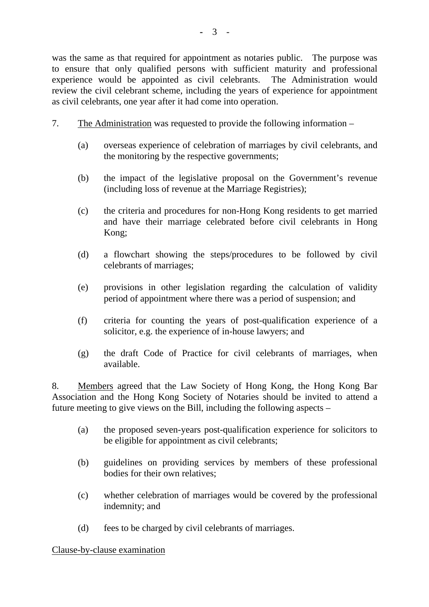was the same as that required for appointment as notaries public. The purpose was to ensure that only qualified persons with sufficient maturity and professional experience would be appointed as civil celebrants. The Administration would review the civil celebrant scheme, including the years of experience for appointment as civil celebrants, one year after it had come into operation.

- 7. The Administration was requested to provide the following information
	- (a) overseas experience of celebration of marriages by civil celebrants, and the monitoring by the respective governments;
	- (b) the impact of the legislative proposal on the Government's revenue (including loss of revenue at the Marriage Registries);
	- (c) the criteria and procedures for non-Hong Kong residents to get married and have their marriage celebrated before civil celebrants in Hong Kong;
	- (d) a flowchart showing the steps/procedures to be followed by civil celebrants of marriages;
	- (e) provisions in other legislation regarding the calculation of validity period of appointment where there was a period of suspension; and
	- (f) criteria for counting the years of post-qualification experience of a solicitor, e.g. the experience of in-house lawyers; and
	- (g) the draft Code of Practice for civil celebrants of marriages, when available.

8. Members agreed that the Law Society of Hong Kong, the Hong Kong Bar Association and the Hong Kong Society of Notaries should be invited to attend a future meeting to give views on the Bill, including the following aspects –

- (a) the proposed seven-years post-qualification experience for solicitors to be eligible for appointment as civil celebrants;
- (b) guidelines on providing services by members of these professional bodies for their own relatives;
- (c) whether celebration of marriages would be covered by the professional indemnity; and
- (d) fees to be charged by civil celebrants of marriages.

Clause-by-clause examination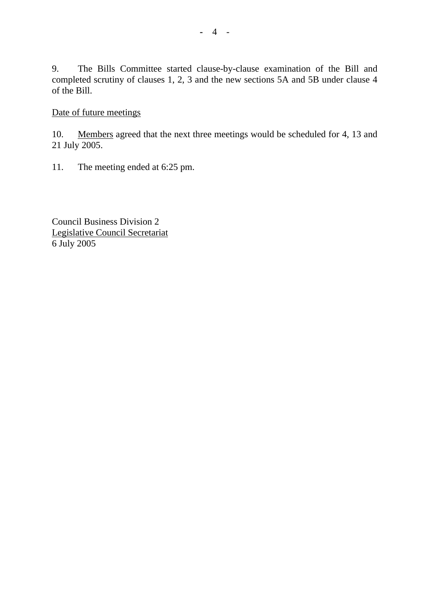9. The Bills Committee started clause-by-clause examination of the Bill and completed scrutiny of clauses 1, 2, 3 and the new sections 5A and 5B under clause 4 of the Bill.

## Date of future meetings

10. Members agreed that the next three meetings would be scheduled for 4, 13 and 21 July 2005.

11. The meeting ended at 6:25 pm.

Council Business Division 2 Legislative Council Secretariat 6 July 2005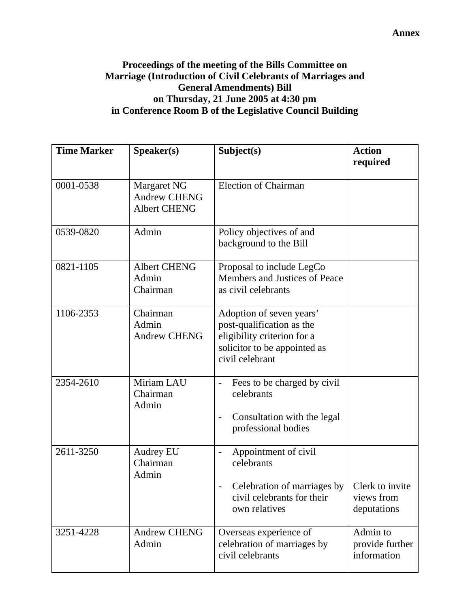#### **Annex**

# **Proceedings of the meeting of the Bills Committee on Marriage (Introduction of Civil Celebrants of Marriages and General Amendments) Bill on Thursday, 21 June 2005 at 4:30 pm in Conference Room B of the Legislative Council Building**

| <b>Time Marker</b> | Speaker(s)                                                | Subject(s)                                                                                                                              | <b>Action</b><br>required                    |
|--------------------|-----------------------------------------------------------|-----------------------------------------------------------------------------------------------------------------------------------------|----------------------------------------------|
| 0001-0538          | Margaret NG<br><b>Andrew CHENG</b><br><b>Albert CHENG</b> | <b>Election of Chairman</b>                                                                                                             |                                              |
| 0539-0820          | Admin                                                     | Policy objectives of and<br>background to the Bill                                                                                      |                                              |
| 0821-1105          | <b>Albert CHENG</b><br>Admin<br>Chairman                  | Proposal to include LegCo<br>Members and Justices of Peace<br>as civil celebrants                                                       |                                              |
| 1106-2353          | Chairman<br>Admin<br><b>Andrew CHENG</b>                  | Adoption of seven years'<br>post-qualification as the<br>eligibility criterion for a<br>solicitor to be appointed as<br>civil celebrant |                                              |
| 2354-2610          | Miriam LAU<br>Chairman<br>Admin                           | Fees to be charged by civil<br>$\blacksquare$<br>celebrants<br>Consultation with the legal<br>$\blacksquare$<br>professional bodies     |                                              |
| 2611-3250          | <b>Audrey EU</b><br>Chairman<br>Admin                     | Appointment of civil<br>celebrants<br>Celebration of marriages by<br>civil celebrants for their<br>own relatives                        | Clerk to invite<br>views from<br>deputations |
| 3251-4228          | <b>Andrew CHENG</b><br>Admin                              | Overseas experience of<br>celebration of marriages by<br>civil celebrants                                                               | Admin to<br>provide further<br>information   |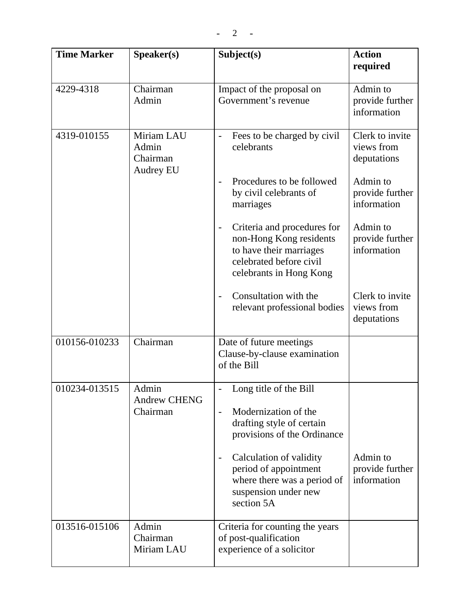| <b>Time Marker</b> | Speaker(s)                                          | Subject(s)                                                                                                                                                                                                                                                      | <b>Action</b><br>required                    |
|--------------------|-----------------------------------------------------|-----------------------------------------------------------------------------------------------------------------------------------------------------------------------------------------------------------------------------------------------------------------|----------------------------------------------|
| 4229-4318          | Chairman<br>Admin                                   | Impact of the proposal on<br>Government's revenue                                                                                                                                                                                                               | Admin to<br>provide further<br>information   |
| 4319-010155        | Miriam LAU<br>Admin<br>Chairman<br><b>Audrey EU</b> | Fees to be charged by civil<br>$\overline{\phantom{0}}$<br>celebrants                                                                                                                                                                                           | Clerk to invite<br>views from<br>deputations |
|                    |                                                     | Procedures to be followed<br>by civil celebrants of<br>marriages                                                                                                                                                                                                | Admin to<br>provide further<br>information   |
|                    |                                                     | Criteria and procedures for<br>non-Hong Kong residents<br>to have their marriages<br>celebrated before civil<br>celebrants in Hong Kong                                                                                                                         | Admin to<br>provide further<br>information   |
|                    |                                                     | Consultation with the<br>relevant professional bodies                                                                                                                                                                                                           | Clerk to invite<br>views from<br>deputations |
| 010156-010233      | Chairman                                            | Date of future meetings<br>Clause-by-clause examination<br>of the Bill                                                                                                                                                                                          |                                              |
| 010234-013515      | Admin<br><b>Andrew CHENG</b><br>Chairman            | Long title of the Bill<br>Modernization of the<br>$\overline{\phantom{0}}$<br>drafting style of certain<br>provisions of the Ordinance<br>Calculation of validity<br>period of appointment<br>where there was a period of<br>suspension under new<br>section 5A | Admin to<br>provide further<br>information   |
| 013516-015106      | Admin<br>Chairman<br>Miriam LAU                     | Criteria for counting the years<br>of post-qualification<br>experience of a solicitor                                                                                                                                                                           |                                              |